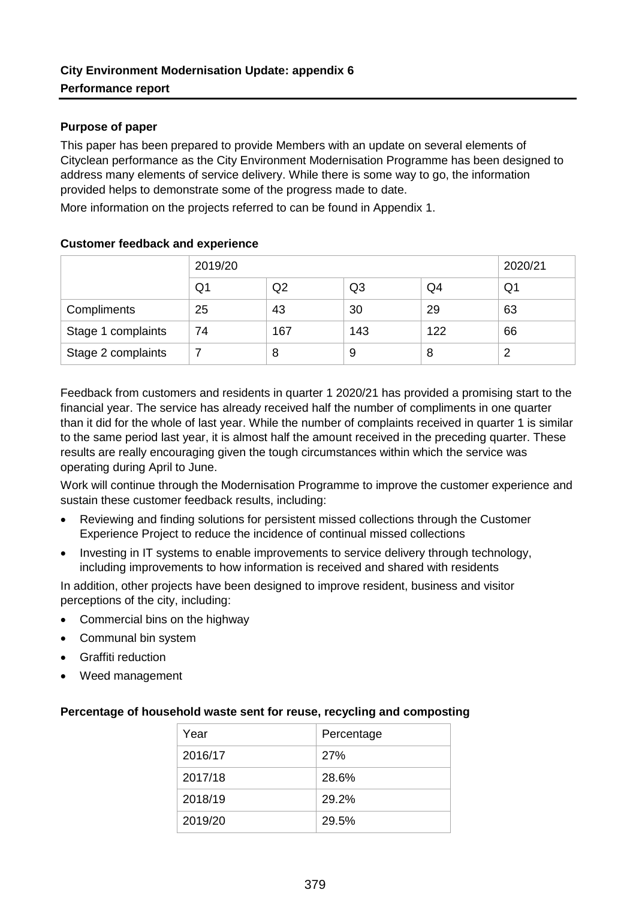# **Purpose of paper**

This paper has been prepared to provide Members with an update on several elements of Cityclean performance as the City Environment Modernisation Programme has been designed to address many elements of service delivery. While there is some way to go, the information provided helps to demonstrate some of the progress made to date.

More information on the projects referred to can be found in Appendix 1.

### **Customer feedback and experience**

|                    | 2019/20 |                |                | 2020/21 |    |
|--------------------|---------|----------------|----------------|---------|----|
|                    | Q1      | Q <sub>2</sub> | Q <sub>3</sub> | Q4      | Q1 |
| Compliments        | 25      | 43             | 30             | 29      | 63 |
| Stage 1 complaints | 74      | 167            | 143            | 122     | 66 |
| Stage 2 complaints |         | 8              | 9              | 8       |    |

Feedback from customers and residents in quarter 1 2020/21 has provided a promising start to the financial year. The service has already received half the number of compliments in one quarter than it did for the whole of last year. While the number of complaints received in quarter 1 is similar to the same period last year, it is almost half the amount received in the preceding quarter. These results are really encouraging given the tough circumstances within which the service was operating during April to June.

Work will continue through the Modernisation Programme to improve the customer experience and sustain these customer feedback results, including:

- Reviewing and finding solutions for persistent missed collections through the Customer Experience Project to reduce the incidence of continual missed collections
- Investing in IT systems to enable improvements to service delivery through technology, including improvements to how information is received and shared with residents

In addition, other projects have been designed to improve resident, business and visitor perceptions of the city, including:

- Commercial bins on the highway
- Communal bin system
- Graffiti reduction
- Weed management

### **Percentage of household waste sent for reuse, recycling and composting**

| Year    | Percentage |
|---------|------------|
| 2016/17 | <b>27%</b> |
| 2017/18 | 28.6%      |
| 2018/19 | 29.2%      |
| 2019/20 | 29.5%      |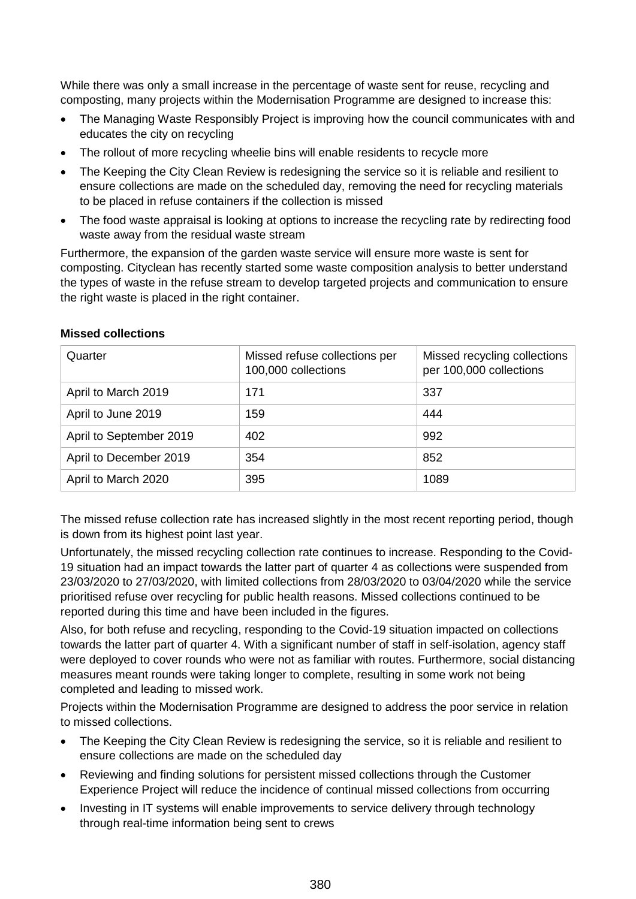While there was only a small increase in the percentage of waste sent for reuse, recycling and composting, many projects within the Modernisation Programme are designed to increase this:

- The Managing Waste Responsibly Project is improving how the council communicates with and educates the city on recycling
- The rollout of more recycling wheelie bins will enable residents to recycle more
- The Keeping the City Clean Review is redesigning the service so it is reliable and resilient to ensure collections are made on the scheduled day, removing the need for recycling materials to be placed in refuse containers if the collection is missed
- The food waste appraisal is looking at options to increase the recycling rate by redirecting food waste away from the residual waste stream

Furthermore, the expansion of the garden waste service will ensure more waste is sent for composting. Cityclean has recently started some waste composition analysis to better understand the types of waste in the refuse stream to develop targeted projects and communication to ensure the right waste is placed in the right container.

| Quarter                 | Missed refuse collections per<br>100,000 collections | Missed recycling collections<br>per 100,000 collections |
|-------------------------|------------------------------------------------------|---------------------------------------------------------|
| April to March 2019     | 171                                                  | 337                                                     |
| April to June 2019      | 159                                                  | 444                                                     |
| April to September 2019 | 402                                                  | 992                                                     |
| April to December 2019  | 354                                                  | 852                                                     |
| April to March 2020     | 395                                                  | 1089                                                    |

#### **Missed collections**

The missed refuse collection rate has increased slightly in the most recent reporting period, though is down from its highest point last year.

Unfortunately, the missed recycling collection rate continues to increase. Responding to the Covid-19 situation had an impact towards the latter part of quarter 4 as collections were suspended from 23/03/2020 to 27/03/2020, with limited collections from 28/03/2020 to 03/04/2020 while the service prioritised refuse over recycling for public health reasons. Missed collections continued to be reported during this time and have been included in the figures.

Also, for both refuse and recycling, responding to the Covid-19 situation impacted on collections towards the latter part of quarter 4. With a significant number of staff in self-isolation, agency staff were deployed to cover rounds who were not as familiar with routes. Furthermore, social distancing measures meant rounds were taking longer to complete, resulting in some work not being completed and leading to missed work.

Projects within the Modernisation Programme are designed to address the poor service in relation to missed collections.

- The Keeping the City Clean Review is redesigning the service, so it is reliable and resilient to ensure collections are made on the scheduled day
- Reviewing and finding solutions for persistent missed collections through the Customer Experience Project will reduce the incidence of continual missed collections from occurring
- Investing in IT systems will enable improvements to service delivery through technology through real-time information being sent to crews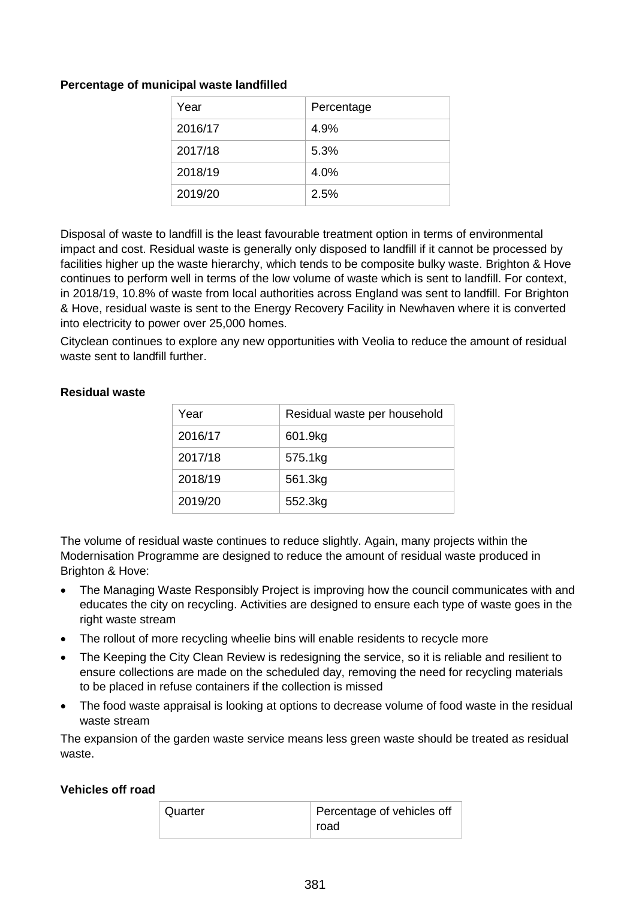# **Percentage of municipal waste landfilled**

| Year    | Percentage |
|---------|------------|
| 2016/17 | 4.9%       |
| 2017/18 | 5.3%       |
| 2018/19 | 4.0%       |
| 2019/20 | 2.5%       |

Disposal of waste to landfill is the least favourable treatment option in terms of environmental impact and cost. Residual waste is generally only disposed to landfill if it cannot be processed by facilities higher up the waste hierarchy, which tends to be composite bulky waste. Brighton & Hove continues to perform well in terms of the low volume of waste which is sent to landfill. For context, in 2018/19, 10.8% of waste from local authorities across England was sent to landfill. For Brighton & Hove, residual waste is sent to the Energy Recovery Facility in Newhaven where it is converted into electricity to power over 25,000 homes.

Cityclean continues to explore any new opportunities with Veolia to reduce the amount of residual waste sent to landfill further.

## **Residual waste**

| Year    | Residual waste per household |
|---------|------------------------------|
| 2016/17 | 601.9kg                      |
| 2017/18 | 575.1kg                      |
| 2018/19 | 561.3kg                      |
| 2019/20 | 552.3kg                      |

The volume of residual waste continues to reduce slightly. Again, many projects within the Modernisation Programme are designed to reduce the amount of residual waste produced in Brighton & Hove:

- The Managing Waste Responsibly Project is improving how the council communicates with and educates the city on recycling. Activities are designed to ensure each type of waste goes in the right waste stream
- The rollout of more recycling wheelie bins will enable residents to recycle more
- The Keeping the City Clean Review is redesigning the service, so it is reliable and resilient to ensure collections are made on the scheduled day, removing the need for recycling materials to be placed in refuse containers if the collection is missed
- The food waste appraisal is looking at options to decrease volume of food waste in the residual waste stream

The expansion of the garden waste service means less green waste should be treated as residual waste.

# **Vehicles off road**

| Quarter | Percentage of vehicles off |
|---------|----------------------------|
|         | road                       |